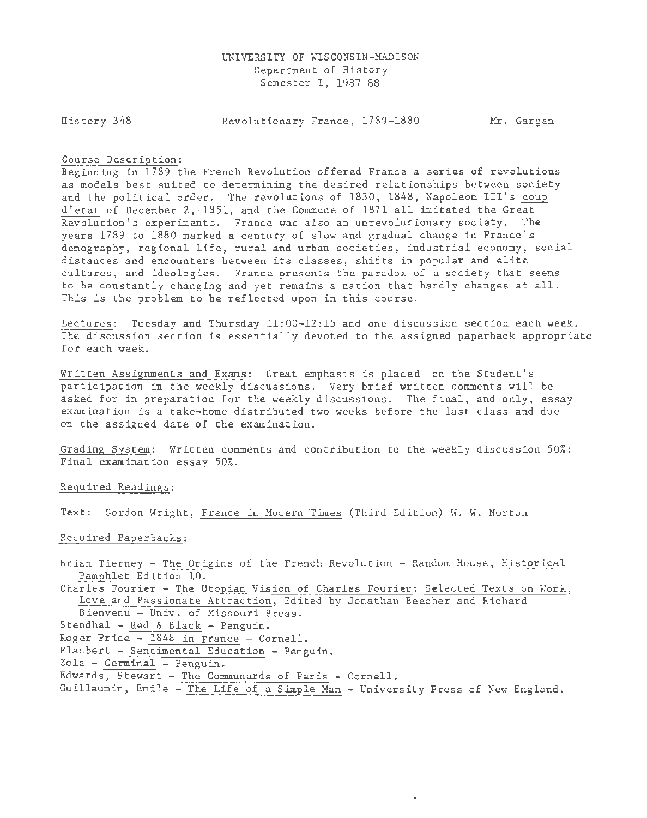History 348

Revolutionary France, 1789-1880 Mr. Gargan

## Course Description:

Beginning in 1789 the French Revolution offered France a series of revolutions as models best suited to determining the desired relationships between society and the political order. The revolutions of 1830, 1848, Napoleon III's coup d'etat of December 2, 1851, and the Commune of 1871 all imitated the Great Revolution's experiments. France was also an unrevolutionary society. The years 1789 to 1880 marked a century of slow and gradual change in France's demography, regional life, rural and urban societies, industrial economy, social distances and encounters between its classes, shifts in popular and elite cultures, and ideologies. France presents the paradox of a society that seems to be constantly changing and yet remains a nation that hardly changes at all. This is the problem to be reflected upon in this course.

Lectures: Tuesday and Thursday 11:00-12:15 and one discussion section each week. The discussion section is essentially devoted to the assigned paperback appropriate for each week.

Written Assignments and Exams: Great emphasis is placed on the Student's participation in the weekly discussions. Very brief written comments will be asked for in preparation for the weekly discussions. The final, and only, essay examination is a take-home distributed two weeks before the last class and due on the assigned date of the examination.

Grading System: Written comments and contribution to the weekly discussion 50%; Final examination essay 50%.

Required Readings:

Text: Gordon Wright, France in Modern Times (Third Edition) W. W. Norton

Required Paperbacks:

Brian Tierney - The Origins of the French Revolution - Random House, Historical Pamphlet Edition 10.

Charles Fourier - The Utopian Vision of Charles Fourier: Selected Texts on Work, Love and Passionate Attraction, Edited by Jonathan Beecher and Richard

- Bienvenu Univ. of Missouri Press.
- Stendhal Red & Black Penguin.
- Roger Price 1848 in France Cornell.
- Flaubert Sentimental Education Penguin .

Zola - Germinal - Penguin.

- Edwards, Stewart The Communards of Paris Cornell .
- Guillaumin, Emile The Life of a Simple Man University Press of New England.